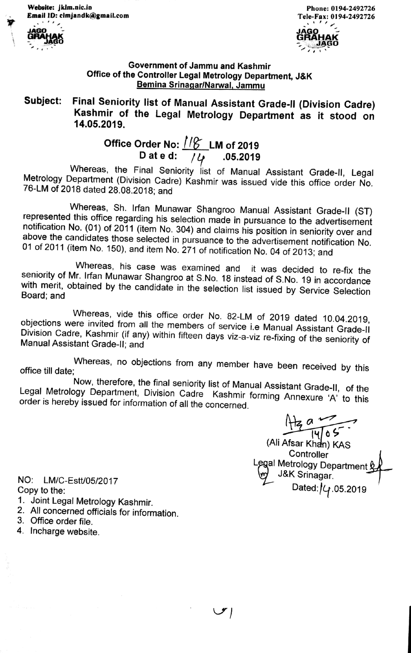jklm.nic.in Phone: 0194-2492726 Email ID: clmjandk@gmail.com Tele-Fax: 0194-2492726





## Government of Jammu and Kashmir Office of the Controller Legal Metrology Department, J&K Bemina Srinaqar/Narwal, Jammu

Subject: Final Seniority list of Manual Assistant Grade-Il (Division Cadre) Kashmir of the Legal Metrology Department as it stood on 14.05.2019.

## Office Order No:  $1/6$  LM of 2019 D at e d:  $\sqrt{4}$  .05.2019

Whereas, the Final Seniority list of Manual Assistant Grade-II, Legal Metrology Department (Division Cadre) Kashmir was issued vide this office order No. 76-LM of 2018 dated 28.08.2018; and

Whereas, Sh. Irfan Munawar Shangroo Manual Assistant Grade-II (ST) represented this office regarding his selection made in pursuance to the advertisement notification No. (01) of 2011 (item No. 304) and claims his position

Whereas, his case was examined and it was decided to re-fix the seniority of Mr. Irfan Munawar Shangroo at S.No. 18 instead of S.No. 19 in accordance with merit, obtained by the candidate in the selection list issued by Se

Whereas, vide this office order No. 82-LM of 2019 dated 10.04.2019, objections were invited from all the members of service i.e Manual Assistant Grade-Il Manual Assistant Grade-II; and Division Cadre, Kashmir (if any) within fifteen days viz-a-viz re-fixing of the seniority of

Whereas, no objections from any member have been received by this office till date:

Legal Metrology Department, Division Cadre Kashmir forming Annexure 'A' to this order is hereby issued for information of all the concerned. Now, therefore, the final seniority list of Manual Assistant Grade-Il, of the order is hereby issued for information of all the concerned.

(Ali Afsar Khan) KAS **Controller** Legal Metrology Department<u> &</u><br>\m J&K Srinagar. Dated: $/$  $4$ .05.2019

NO: LM/C-Estt/05/2017<br>Copy to the:

- 1. Joint Legal Metrology Kashmir.
- 2. All concerned officials for information.
- 3. Office order file.
- 4. Incharge website.